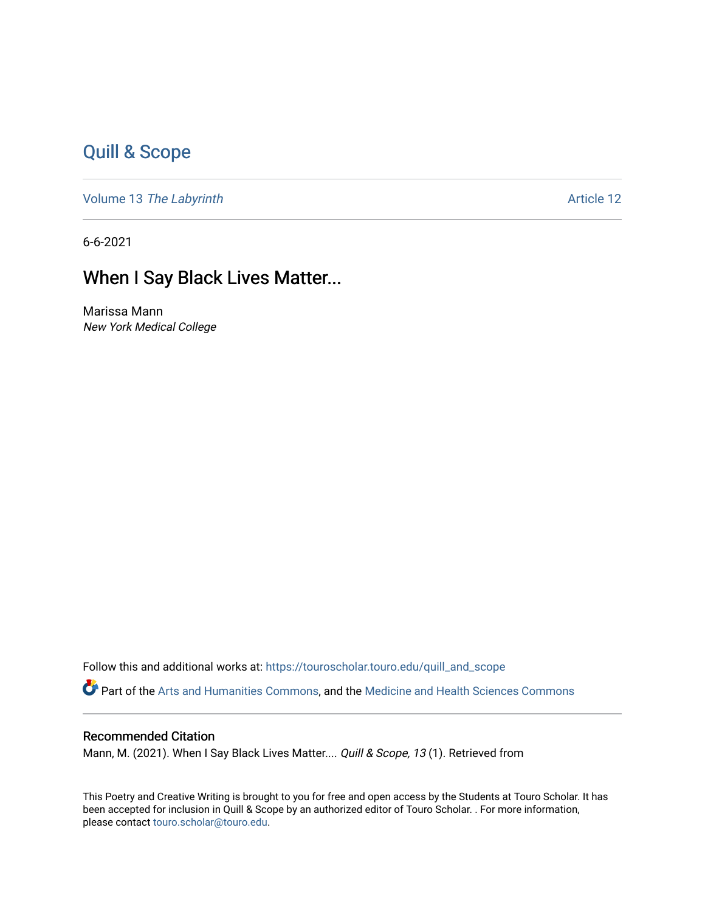## [Quill & Scope](https://touroscholar.touro.edu/quill_and_scope)

Volume 13 [The Labyrinth](https://touroscholar.touro.edu/quill_and_scope/vol13) Article 12

6-6-2021

## When I Say Black Lives Matter...

Marissa Mann New York Medical College

Follow this and additional works at: [https://touroscholar.touro.edu/quill\\_and\\_scope](https://touroscholar.touro.edu/quill_and_scope?utm_source=touroscholar.touro.edu%2Fquill_and_scope%2Fvol13%2Fiss1%2F12&utm_medium=PDF&utm_campaign=PDFCoverPages) Part of the [Arts and Humanities Commons,](http://network.bepress.com/hgg/discipline/438?utm_source=touroscholar.touro.edu%2Fquill_and_scope%2Fvol13%2Fiss1%2F12&utm_medium=PDF&utm_campaign=PDFCoverPages) and the [Medicine and Health Sciences Commons](http://network.bepress.com/hgg/discipline/648?utm_source=touroscholar.touro.edu%2Fquill_and_scope%2Fvol13%2Fiss1%2F12&utm_medium=PDF&utm_campaign=PDFCoverPages)

## Recommended Citation

Mann, M. (2021). When I Say Black Lives Matter.... Quill & Scope, 13 (1). Retrieved from

This Poetry and Creative Writing is brought to you for free and open access by the Students at Touro Scholar. It has been accepted for inclusion in Quill & Scope by an authorized editor of Touro Scholar. . For more information, please contact [touro.scholar@touro.edu](mailto:touro.scholar@touro.edu).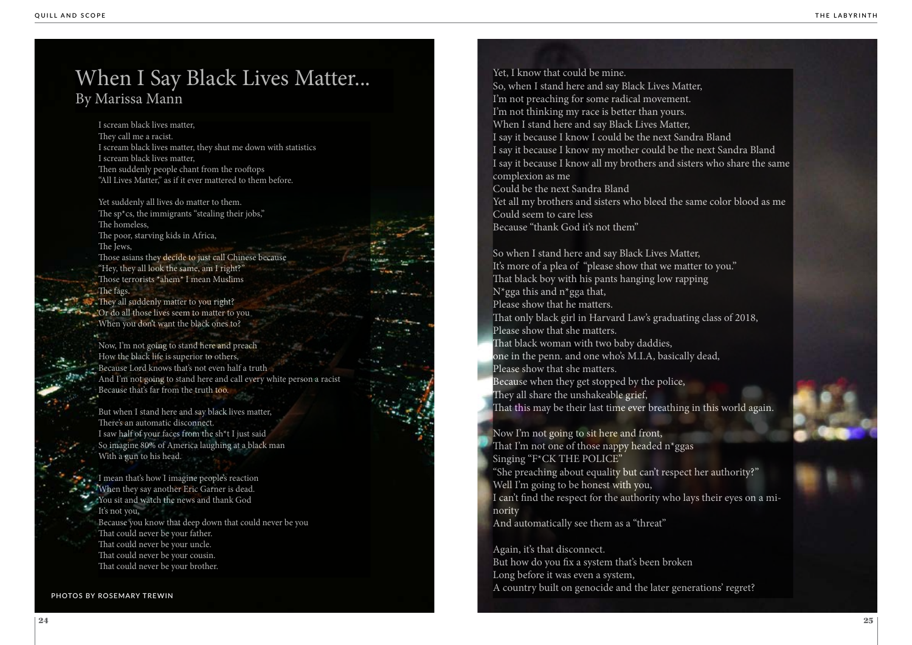I scream black lives matter, They call me a racist. I scream black lives matter, they shut me down with statistics I scream black lives matter, Then suddenly people chant from the rooftops "All Lives Matter," as if it ever mattered to them before.

They all suddenly matter to you right? Or do all those lives seem to matter to you When you don't want the black ones to?

Yet suddenly all lives do matter to them. The sp<sup>\*</sup>cs, the immigrants "stealing their jobs," The homeless, The poor, starving kids in Africa, The Jews, Those asians they decide to just call Chinese because "Hey, they all look the same, am I right?" Those terrorists \*ahem\* I mean Muslims The fags.

Now, I'm not going to stand here and preach How the black life is superior to others, Because Lord knows that's not even half a truth And I'm not going to stand here and call every white person a racist Because that's far from the truth too.

But when I stand here and say black lives matter, There's an automatic disconnect. I saw half of your faces from the sh\*t I just said So imagine 80% of America laughing at a black man With a gun to his head.

So when I stand here and say Black Lives Matter, It's more of a plea of "please show that we matter to you." That black boy with his pants hanging low rapping  $N*$ gga this and n<sup>\*</sup>gga that,

I mean that's how I imagine people's reaction When they say another Eric Garner is dead. You sit and watch the news and thank God It's not you, Because you know that deep down that could never be you That could never be your father. That could never be your uncle. That could never be your cousin. That could never be your brother.

## When I Say Black Lives Matter... By Marissa Mann

Yet, I know that could be mine.

So, when I stand here and say Black Lives Matter, I'm not preaching for some radical movement. I'm not thinking my race is better than yours. When I stand here and say Black Lives Matter, I say it because I know I could be the next Sandra Bland I say it because I know my mother could be the next Sandra Bland I say it because I know all my brothers and sisters who share the same complexion as me

Could be the next Sandra Bland Yet all my brothers and sisters who bleed the same color blood as me Could seem to care less Because "thank God it's not them"

Please show that he matters.

That only black girl in Harvard Law's graduating class of 2018, Please show that she matters.

That black woman with two baby daddies, one in the penn. and one who's M.I.A, basically dead, Please show that she matters.

Because when they get stopped by the police, They all share the unshakeable grief,

That this may be their last time ever breathing in this world again.

Now I'm not going to sit here and front, That I'm not one of those nappy headed n\*ggas Singing "F\*CK THE POLICE" "She preaching about equality but can't respect her authority?" Well I'm going to be honest with you, I can't find the respect for the authority who lays their eyes on a mi nority

And automatically see them as a "threat"

Again, it's that disconnect. But how do you fix a system that's been broken Long before it was even a system, A country built on genocide and the later generations' regret? **PHOTOS BY ROSEMARY TREWIN**